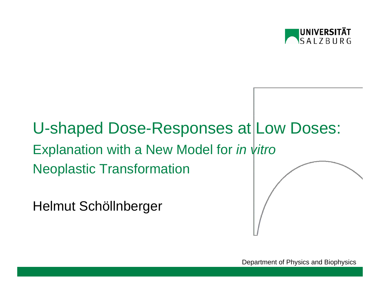

# U-shaped Dose-Responses at Low Doses: Explanation with a New Model for *in vitro* Neoplastic Transformation

Helmut Schöllnberger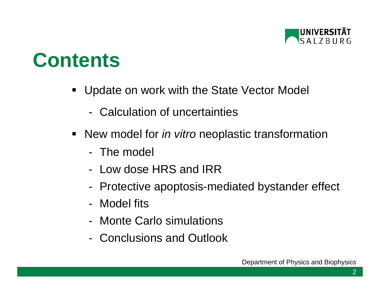

# **Contents**

- $\blacksquare$  Update on work with the State Vector Model
	- Calculation of uncertainties
- New model for *in vitro* neoplastic transformation
	- The model
	- Low dose HRS and IRR
	- -Protective apoptosis-mediated bystander effect
	- Model fits
	- Monte Carlo simulations
	- Conclusions and Outlook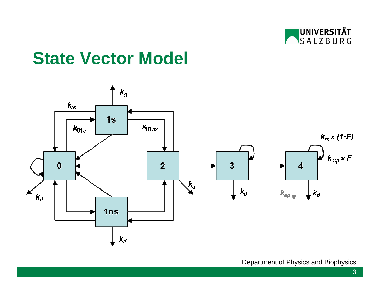

## **State Vector Model**

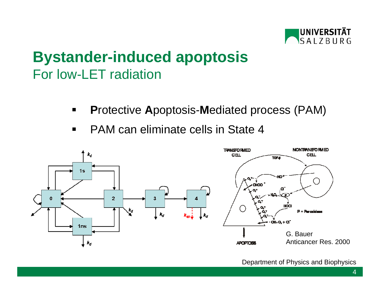

## **Bystander-induced apoptosis** For low-LET radiation

- $\blacksquare$ **P**rotective **A**poptosis-**M**ediated process (PAM)
- $\blacksquare$ PAM can eliminate cells in State 4

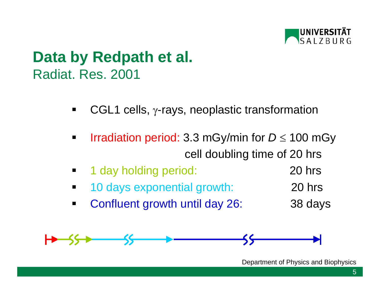

## **Data by Redpath et al.** Radiat. Res. 2001

- $\blacksquare$ CGL1 cells, γ-rays, neoplastic transformation
- $\blacksquare$  Irradiation period: 3.3 mGy/min for *D* <sup>≤</sup> 100 mGy cell doubling time of 20 hrs
- $\blacksquare$ 1 day holding period: 20 hrs
- $\blacksquare$ 10 days exponential growth: 20 hrs
- $\blacksquare$ Confluent growth until day 26: 38 days

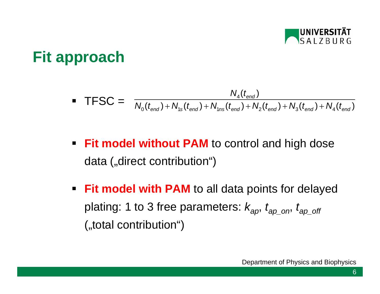

## **Fit approach**

• TFSC = 
$$
\frac{N_{4}(t_{end})}{N_{0}(t_{end})+N_{1s}(t_{end})+N_{1ns}(t_{end})+N_{2}(t_{end})+N_{3}(t_{end})+N_{4}(t_{end})}
$$

- **Fit model without PAM** to control and high dose data ("direct contribution")
- **Fit model with PAM** to all data points for delayed plating: 1 to 3 free parameters: *kap*, *tap\_on*, *tap\_off* ("total contribution")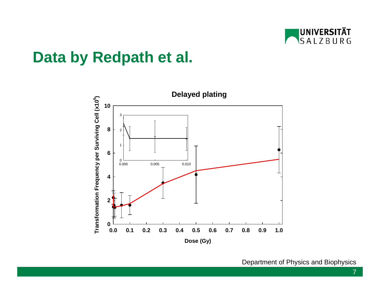

#### **Data by Redpath et al.**

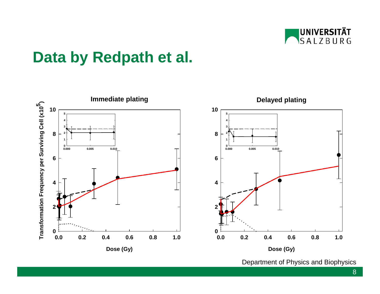

## **Data by Redpath et al.**

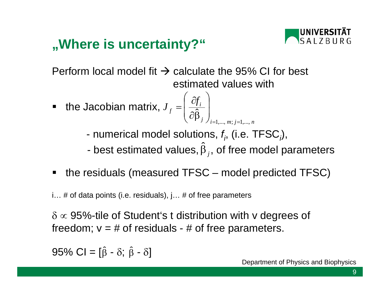## **"Where is uncertainty?"**



Perform local model fit  $\rightarrow$  calculate the 95% CI for best estimated values with

- the Jacobian matrix, *i*  $\frac{1}{i}$   $\frac{1}{i}$   $= 1, \ldots, m; j = 1, \ldots, n$  *m* $J_f = \frac{\partial f_i}{\partial \hat{\Omega}}$  $1,..., m; j=1,...,$ = $=$  1,…, *m*,  $=$  $=\left(\frac{\partial f_i}{\partial \hat{\beta}_j}\right)$ 
	- numerical model solutions, *fi*, (i.e. TFSC*i*),
	- best estimated values,  $\hat{\bm{\beta}}_{j}$ , of free model parameters
- $\blacksquare$ the residuals (measured TFSC – model predicted TFSC)

i… # of data points (i.e. residuals), j… # of free parameters

 $\delta \propto 95\%$ -tile of Student's t distribution with v degrees of freedom;  $v = #$  of residuals - # of free parameters.

95% Cl = [ $\hat{\beta}$  -  $\delta$ ;  $\hat{\beta}$  -  $\delta$ ]  $\hat{\beta}$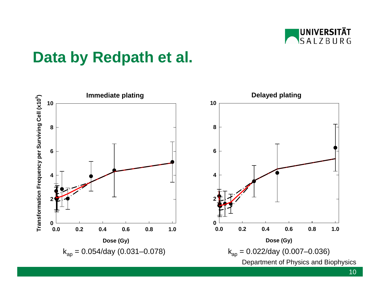

## **Data by Redpath et al.**

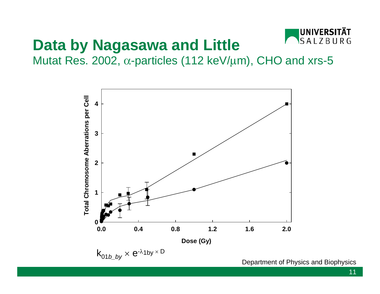

## **Data by Nagasawa and Little**

Mutat Res. 2002,  $\alpha$ -particles (112 keV/ $\mu$ m), CHO and xrs-5

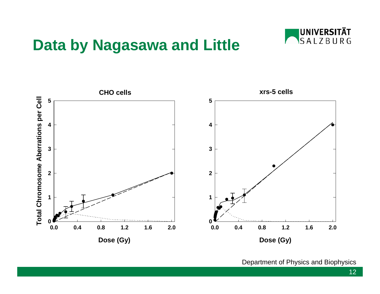#### **Data by Nagasawa and Little**



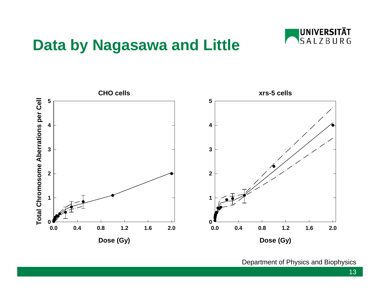#### **Data by Nagasawa and Little**



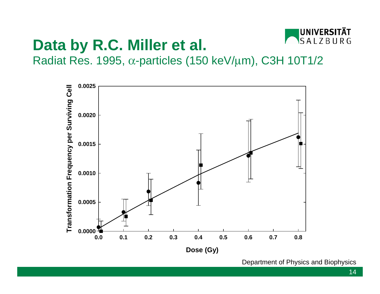

## **Data by R.C. Miller et al.**

Radiat Res. 1995, <sup>α</sup>-particles (150 keV/ µm), C3H 10T1/2

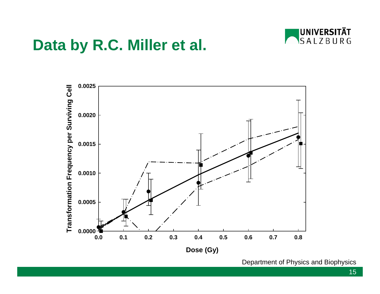

#### **Data by R.C. Miller et al.**

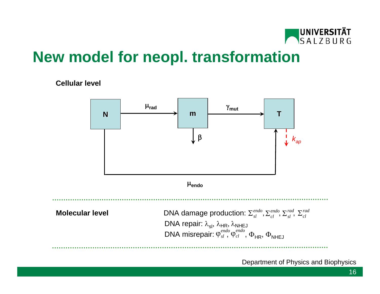

## **New model for neopl. transformation**

#### **Cellular level**

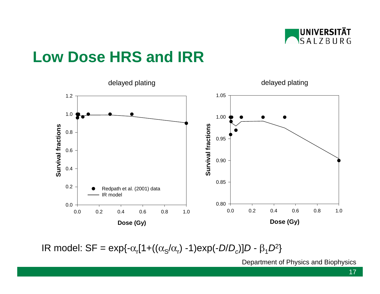

## **Low Dose HRS and IRR**



IR model:  $SF = exp{-\alpha_r[1+(\alpha_s/\alpha_r) -1)exp(-D/D_c)]D - \beta_1D^2}$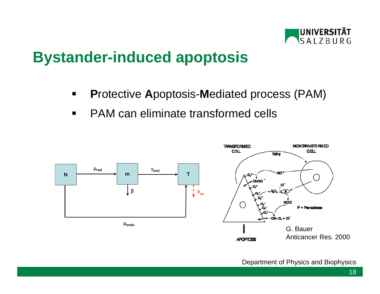

## **Bystander-induced apoptosis**

- $\blacksquare$ **P**rotective **A**poptosis-**M**ediated process (PAM)
- $\blacksquare$ PAM can eliminate transformed cells

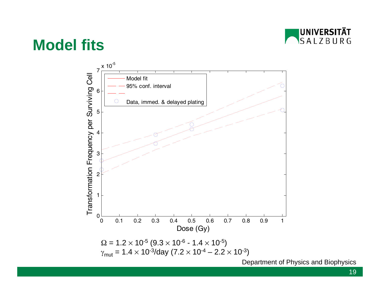

#### **Model fits**



19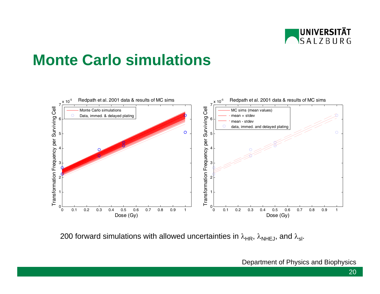

## **Monte Carlo simulations**



200 forward simulations with allowed uncertainties in  $\lambda_{HR}$ ,  $\lambda_{NHEJ}$ , and  $\lambda_{sl}$ .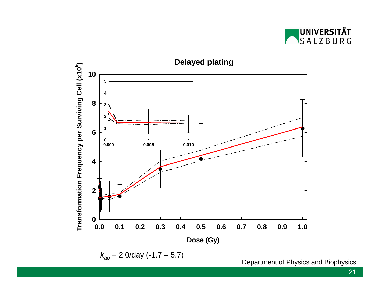

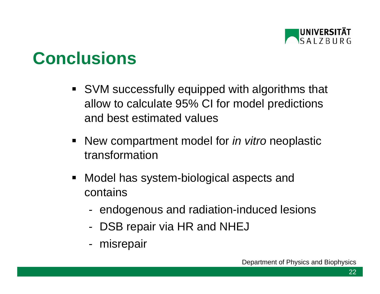

## **Conclusions**

- SVM successfully equipped with algorithms that allow to calculate 95% CI for model predictions and best estimated values
- $\blacksquare$  New compartment model for *in vitro* neoplastic transformation
- $\blacksquare$  Model has system-biological aspects and contains
	- endogenous and radiation-induced lesions
	- -DSB repair via HR and NHEJ
	- misrepair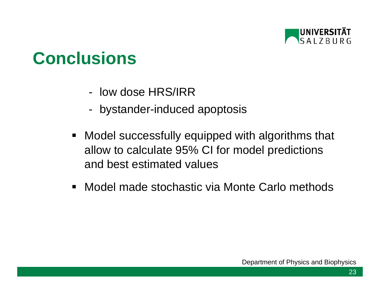

## **Conclusions**

- low dose HRS/IRR
- bystander-induced apoptosis
- $\blacksquare$  Model successfully equipped with algorithms that allow to calculate 95% CI for model predictions and best estimated values
- Model made stochastic via Monte Carlo methods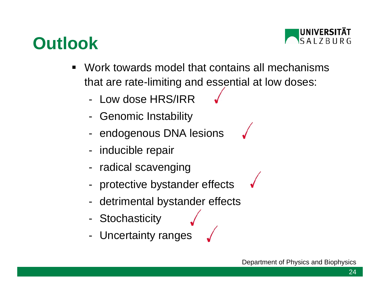## **Outlook**



- $\blacksquare$  Work towards model that contains all mechanismsthat are rate-limiting and essential at low doses:
	- Low dose HRS/IRR
	- -Genomic Instability
	- endogenous DNA lesions
	- inducible repair
	- radical scavenging
	- protective bystander effects
	- detrimental bystander effects
	- -**Stochasticity**
	- -Uncertainty ranges